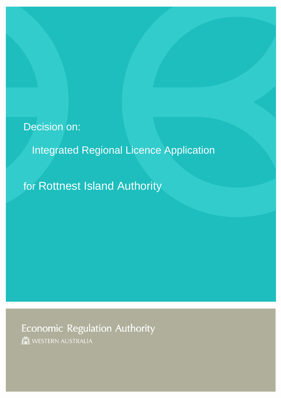# Decision on:

## Integrated Regional Licence Application

for Rottnest Island Authority

Economic Regulation Authority

WESTERN AUSTRALIA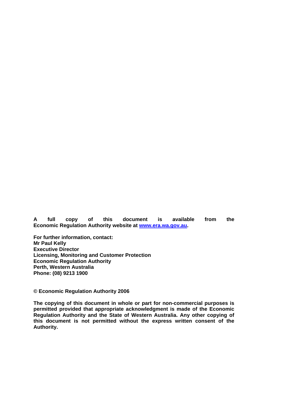**A full copy of this document is available from the Economic Regulation Authority website at [www.era.wa.gov.au](http://www.era.wa.gov.au/).** 

**For further information, contact: Mr Paul Kelly Executive Director Licensing, Monitoring and Customer Protection Economic Regulation Authority Perth, Western Australia Phone: (08) 9213 1900** 

**© Economic Regulation Authority 2006** 

**The copying of this document in whole or part for non-commercial purposes is permitted provided that appropriate acknowledgment is made of the Economic Regulation Authority and the State of Western Australia. Any other copying of this document is not permitted without the express written consent of the Authority.**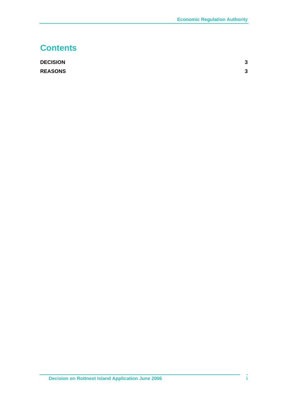### **Contents**

| <b>DECISION</b> | 3 |
|-----------------|---|
| <b>REASONS</b>  | 3 |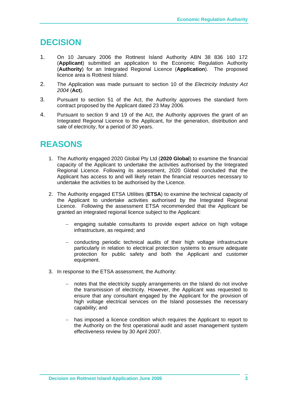#### <span id="page-3-0"></span>**DECISION**

- 1. On 10 January 2006 the Rottnest Island Authority ABN 38 836 160 172 (**Applicant**) submitted an application to the Economic Regulation Authority (**Authority**) for an Integrated Regional Licence (**Application**). The proposed licence area is Rottnest Island.
- 2. The Application was made pursuant to section 10 of the *Electricity Industry Act 2004* (**Act**).
- 3. Pursuant to section 51 of the Act, the Authority approves the standard form contract proposed by the Applicant dated 23 May 2006.
- 4. Pursuant to section 9 and 19 of the Act, the Authority approves the grant of an Integrated Regional Licence to the Applicant, for the generation, distribution and sale of electricity, for a period of 30 years.

### **REASONS**

- 1. The Authority engaged 2020 Global Pty Ltd (**2020 Global**) to examine the financial capacity of the Applicant to undertake the activities authorised by the Integrated Regional Licence. Following its assessment, 2020 Global concluded that the Applicant has access to and will likely retain the financial resources necessary to undertake the activities to be authorised by the Licence.
- 2. The Authority engaged ETSA Utilities (**ETSA**) to examine the technical capacity of the Applicant to undertake activities authorised by the Integrated Regional Licence. Following the assessment ETSA recommended that the Applicant be granted an integrated regional licence subject to the Applicant:
	- − engaging suitable consultants to provide expert advice on high voltage infrastructure, as required; and
	- − conducting periodic technical audits of their high voltage infrastructure particularly in relation to electrical protection systems to ensure adequate protection for public safety and both the Applicant and customer equipment.
- 3. In response to the ETSA assessment, the Authority:
	- notes that the electricity supply arrangements on the Island do not involve the transmission of electricity. However, the Applicant was requested to ensure that any consultant engaged by the Applicant for the provision of high voltage electrical services on the Island possesses the necessary capability; and
	- − has imposed a licence condition which requires the Applicant to report to the Authority on the first operational audit and asset management system effectiveness review by 30 April 2007.